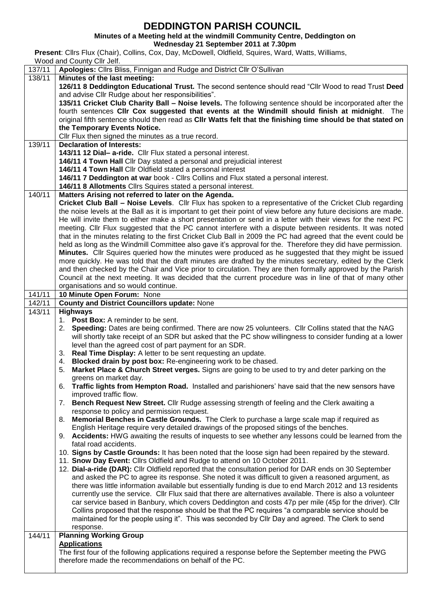**DEDDINGTON PARISH COUNCIL**<br>Minutes of a Meeting held at the windmill Community Centre, Deddington on **Minutes of a Meeting held at the windmill Community Centre, Deddington on**

**Wednesday 21 September 2011 at 7.30pm**

**Present**: Cllrs Flux (Chair), Collins, Cox, Day, McDowell, Oldfield, Squires, Ward, Watts, Williams,

Wood and County Cllr Jelf.

| 137/11 | Apologies: Cllrs Bliss, Finnigan and Rudge and District Cllr O'Sullivan                                          |  |  |  |  |  |
|--------|------------------------------------------------------------------------------------------------------------------|--|--|--|--|--|
| 138/11 | Minutes of the last meeting:                                                                                     |  |  |  |  |  |
|        | 126/11 8 Deddington Educational Trust. The second sentence should read "Cllr Wood to read Trust Deed             |  |  |  |  |  |
|        | and advise Cllr Rudge about her responsibilities".                                                               |  |  |  |  |  |
|        | 135/11 Cricket Club Charity Ball - Noise levels. The following sentence should be incorporated after the         |  |  |  |  |  |
|        | fourth sentences CIIr Cox suggested that events at the Windmill should finish at midnight. The                   |  |  |  |  |  |
|        | original fifth sentence should then read as CIIr Watts felt that the finishing time should be that stated on     |  |  |  |  |  |
|        | the Temporary Events Notice.                                                                                     |  |  |  |  |  |
|        | Cllr Flux then signed the minutes as a true record.                                                              |  |  |  |  |  |
| 139/11 | <b>Declaration of Interests:</b>                                                                                 |  |  |  |  |  |
|        | 143/11 12 Dial- a-ride. Cllr Flux stated a personal interest.                                                    |  |  |  |  |  |
|        | 146/11 4 Town Hall Cllr Day stated a personal and prejudicial interest                                           |  |  |  |  |  |
|        | 146/11 4 Town Hall Cllr Oldfield stated a personal interest                                                      |  |  |  |  |  |
|        | 146/11 7 Deddington at war book - Cllrs Collins and Flux stated a personal interest.                             |  |  |  |  |  |
|        | 146/11 8 Allotments Cllrs Squires stated a personal interest.                                                    |  |  |  |  |  |
| 140/11 | Matters Arising not referred to later on the Agenda.                                                             |  |  |  |  |  |
|        | Cricket Club Ball - Noise Levels. Cllr Flux has spoken to a representative of the Cricket Club regarding         |  |  |  |  |  |
|        | the noise levels at the Ball as it is important to get their point of view before any future decisions are made. |  |  |  |  |  |
|        | He will invite them to either make a short presentation or send in a letter with their views for the next PC     |  |  |  |  |  |
|        | meeting. Cllr Flux suggested that the PC cannot interfere with a dispute between residents. It was noted         |  |  |  |  |  |
|        | that in the minutes relating to the first Cricket Club Ball in 2009 the PC had agreed that the event could be    |  |  |  |  |  |
|        | held as long as the Windmill Committee also gave it's approval for the. Therefore they did have permission.      |  |  |  |  |  |
|        | Minutes. Cllr Squires queried how the minutes were produced as he suggested that they might be issued            |  |  |  |  |  |
|        | more quickly. He was told that the draft minutes are drafted by the minutes secretary, edited by the Clerk       |  |  |  |  |  |
|        | and then checked by the Chair and Vice prior to circulation. They are then formally approved by the Parish       |  |  |  |  |  |
|        | Council at the next meeting. It was decided that the current procedure was in line of that of many other         |  |  |  |  |  |
|        | organisations and so would continue.                                                                             |  |  |  |  |  |
| 141/11 | 10 Minute Open Forum: None                                                                                       |  |  |  |  |  |
| 142/11 | <b>County and District Councillors update: None</b>                                                              |  |  |  |  |  |
| 143/11 | <b>Highways</b>                                                                                                  |  |  |  |  |  |
|        | 1. Post Box: A reminder to be sent.                                                                              |  |  |  |  |  |
|        | 2. Speeding: Dates are being confirmed. There are now 25 volunteers. Cllr Collins stated that the NAG            |  |  |  |  |  |
|        | will shortly take receipt of an SDR but asked that the PC show willingness to consider funding at a lower        |  |  |  |  |  |
|        | level than the agreed cost of part payment for an SDR.                                                           |  |  |  |  |  |
|        | 3. Real Time Display: A letter to be sent requesting an update.                                                  |  |  |  |  |  |
|        | Blocked drain by post box: Re-engineering work to be chased.<br>4.                                               |  |  |  |  |  |
|        | Market Place & Church Street verges. Signs are going to be used to try and deter parking on the<br>5.            |  |  |  |  |  |
|        | greens on market day.                                                                                            |  |  |  |  |  |
|        | Traffic lights from Hempton Road. Installed and parishioners' have said that the new sensors have<br>6.          |  |  |  |  |  |
|        | improved traffic flow.                                                                                           |  |  |  |  |  |
|        | 7. Bench Request New Street. Cllr Rudge assessing strength of feeling and the Clerk awaiting a                   |  |  |  |  |  |
|        | response to policy and permission request.                                                                       |  |  |  |  |  |
|        | 8. Memorial Benches in Castle Grounds. The Clerk to purchase a large scale map if required as                    |  |  |  |  |  |
|        | English Heritage require very detailed drawings of the proposed sitings of the benches.                          |  |  |  |  |  |
|        | 9. Accidents: HWG awaiting the results of inquests to see whether any lessons could be learned from the          |  |  |  |  |  |
|        | fatal road accidents.                                                                                            |  |  |  |  |  |
|        | 10. Signs by Castle Grounds: It has been noted that the loose sign had been repaired by the steward.             |  |  |  |  |  |
|        | 11. Snow Day Event: Cllrs Oldfield and Rudge to attend on 10 October 2011.                                       |  |  |  |  |  |
|        | 12. Dial-a-ride (DAR): Cllr Oldfield reported that the consultation period for DAR ends on 30 September          |  |  |  |  |  |
|        | and asked the PC to agree its response. She noted it was difficult to given a reasoned argument, as              |  |  |  |  |  |
|        | there was little information available but essentially funding is due to end March 2012 and 13 residents         |  |  |  |  |  |
|        | currently use the service. Cllr Flux said that there are alternatives available. There is also a volunteer       |  |  |  |  |  |
|        | car service based in Banbury, which covers Deddington and costs 47p per mile (45p for the driver). Cllr          |  |  |  |  |  |
|        | Collins proposed that the response should be that the PC requires "a comparable service should be                |  |  |  |  |  |
|        | maintained for the people using it". This was seconded by Cllr Day and agreed. The Clerk to send                 |  |  |  |  |  |
|        | response.                                                                                                        |  |  |  |  |  |
| 144/11 | <b>Planning Working Group</b>                                                                                    |  |  |  |  |  |
|        | <b>Applications</b>                                                                                              |  |  |  |  |  |
|        | The first four of the following applications required a response before the September meeting the PWG            |  |  |  |  |  |
|        |                                                                                                                  |  |  |  |  |  |
|        | therefore made the recommendations on behalf of the PC.                                                          |  |  |  |  |  |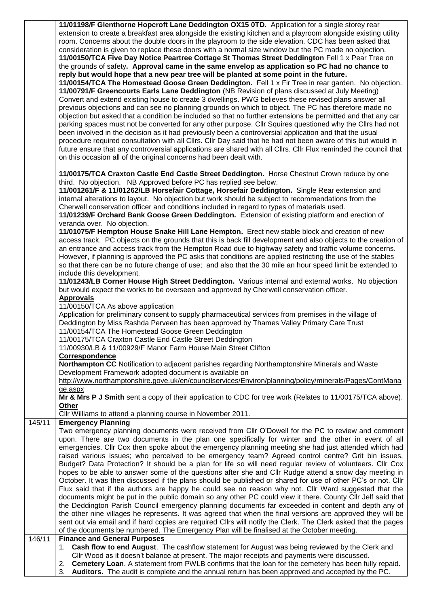|                                   | 11/01198/F Glenthorne Hopcroft Lane Deddington OX15 0TD. Application for a single storey rear                    |  |  |  |  |
|-----------------------------------|------------------------------------------------------------------------------------------------------------------|--|--|--|--|
|                                   | extension to create a breakfast area alongside the existing kitchen and a playroom alongside existing utility    |  |  |  |  |
|                                   | room. Concerns about the double doors in the playroom to the side elevation. CDC has been asked that             |  |  |  |  |
|                                   | consideration is given to replace these doors with a normal size window but the PC made no objection.            |  |  |  |  |
|                                   | 11/00150/TCA Five Day Notice Peartree Cottage St Thomas Street Deddington Fell 1 x Pear Tree on                  |  |  |  |  |
|                                   | the grounds of safety. Approval came in the same envelop as application so PC had no chance to                   |  |  |  |  |
|                                   | reply but would hope that a new pear tree will be planted at some point in the future.                           |  |  |  |  |
|                                   | 11/00154/TCA The Homestead Goose Green Deddington. Fell 1 x Fir Tree in rear garden. No objection.               |  |  |  |  |
|                                   |                                                                                                                  |  |  |  |  |
|                                   | 11/00791/F Greencourts Earls Lane Deddington (NB Revision of plans discussed at July Meeting)                    |  |  |  |  |
|                                   | Convert and extend existing house to create 3 dwellings. PWG believes these revised plans answer all             |  |  |  |  |
|                                   | previous objections and can see no planning grounds on which to object. The PC has therefore made no             |  |  |  |  |
|                                   | objection but asked that a condition be included so that no further extensions be permitted and that any car     |  |  |  |  |
|                                   | parking spaces must not be converted for any other purpose. Cllr Squires questioned why the Cllrs had not        |  |  |  |  |
|                                   | been involved in the decision as it had previously been a controversial application and that the usual           |  |  |  |  |
|                                   | procedure required consultation with all Cllrs. Cllr Day said that he had not been aware of this but would in    |  |  |  |  |
|                                   | future ensure that any controversial applications are shared with all Cllrs. Cllr Flux reminded the council that |  |  |  |  |
|                                   |                                                                                                                  |  |  |  |  |
|                                   | on this occasion all of the original concerns had been dealt with.                                               |  |  |  |  |
|                                   |                                                                                                                  |  |  |  |  |
|                                   | 11/00175/TCA Craxton Castle End Castle Street Deddington. Horse Chestnut Crown reduce by one                     |  |  |  |  |
|                                   | third. No objection. NB Approved before PC has replied see below.                                                |  |  |  |  |
|                                   | 11/001261/F & 11/01262/LB Horsefair Cottage, Horsefair Deddington. Single Rear extension and                     |  |  |  |  |
|                                   | internal alterations to layout. No objection but work should be subject to recommendations from the              |  |  |  |  |
|                                   | Cherwell conservation officer and conditions included in regard to types of materials used.                      |  |  |  |  |
|                                   | 11/01239/F Orchard Bank Goose Green Deddington. Extension of existing platform and erection of                   |  |  |  |  |
|                                   | veranda over. No objection.                                                                                      |  |  |  |  |
|                                   | 11/01075/F Hempton House Snake Hill Lane Hempton. Erect new stable block and creation of new                     |  |  |  |  |
|                                   |                                                                                                                  |  |  |  |  |
|                                   | access track. PC objects on the grounds that this is back fill development and also objects to the creation of   |  |  |  |  |
|                                   | an entrance and access track from the Hempton Road due to highway safety and traffic volume concerns.            |  |  |  |  |
|                                   | However, if planning is approved the PC asks that conditions are applied restricting the use of the stables      |  |  |  |  |
|                                   | so that there can be no future change of use; and also that the 30 mile an hour speed limit be extended to       |  |  |  |  |
|                                   | include this development.                                                                                        |  |  |  |  |
|                                   | 11/01243/LB Corner House High Street Deddington. Various internal and external works. No objection               |  |  |  |  |
|                                   | but would expect the works to be overseen and approved by Cherwell conservation officer.                         |  |  |  |  |
|                                   | <b>Approvals</b>                                                                                                 |  |  |  |  |
| 11/00150/TCA As above application |                                                                                                                  |  |  |  |  |
|                                   |                                                                                                                  |  |  |  |  |
|                                   |                                                                                                                  |  |  |  |  |
|                                   | Application for preliminary consent to supply pharmaceutical services from premises in the village of            |  |  |  |  |
|                                   | Deddington by Miss Rashda Perveen has been approved by Thames Valley Primary Care Trust                          |  |  |  |  |
|                                   | 11/00154/TCA The Homestead Goose Green Deddington                                                                |  |  |  |  |
|                                   | 11/00175/TCA Craxton Castle End Castle Street Deddington                                                         |  |  |  |  |
|                                   | 11/00930/LB & 11/00929/F Manor Farm House Main Street Clifton                                                    |  |  |  |  |
|                                   | Correspondence                                                                                                   |  |  |  |  |
|                                   | Northampton CC Notification to adjacent parishes regarding Northamptonshire Minerals and Waste                   |  |  |  |  |
|                                   |                                                                                                                  |  |  |  |  |
|                                   | Development Framework adopted document is available on                                                           |  |  |  |  |
|                                   | http://www.northamptonshire.gove.uk/en/councilservices/Environ/planning/policy/minerals/Pages/ContMana           |  |  |  |  |
|                                   | ge.aspx                                                                                                          |  |  |  |  |
|                                   | Mr & Mrs P J Smith sent a copy of their application to CDC for tree work (Relates to 11/00175/TCA above).        |  |  |  |  |
|                                   | Other                                                                                                            |  |  |  |  |
|                                   | Cllr Williams to attend a planning course in November 2011.                                                      |  |  |  |  |
| 145/11                            | <b>Emergency Planning</b>                                                                                        |  |  |  |  |
|                                   | Two emergency planning documents were received from Cllr O'Dowell for the PC to review and comment               |  |  |  |  |
|                                   | upon. There are two documents in the plan one specifically for winter and the other in event of all              |  |  |  |  |
|                                   | emergencies. Cllr Cox then spoke about the emergency planning meeting she had just attended which had            |  |  |  |  |
|                                   | raised various issues; who perceived to be emergency team? Agreed control centre? Grit bin issues,               |  |  |  |  |
|                                   | Budget? Data Protection? It should be a plan for life so will need regular review of volunteers. Cllr Cox        |  |  |  |  |
|                                   |                                                                                                                  |  |  |  |  |
|                                   | hopes to be able to answer some of the questions after she and Cllr Rudge attend a snow day meeting in           |  |  |  |  |
|                                   | October. It was then discussed if the plans should be published or shared for use of other PC's or not. Cllr     |  |  |  |  |
|                                   | Flux said that if the authors are happy he could see no reason why not. Cllr Ward suggested that the             |  |  |  |  |
|                                   | documents might be put in the public domain so any other PC could view it there. County Cllr Jelf said that      |  |  |  |  |
|                                   | the Deddington Parish Council emergency planning documents far exceeded in content and depth any of              |  |  |  |  |
|                                   | the other nine villages he represents. It was agreed that when the final versions are approved they will be      |  |  |  |  |
|                                   | sent out via email and if hard copies are required Cllrs will notify the Clerk. The Clerk asked that the pages   |  |  |  |  |
|                                   | of the documents be numbered. The Emergency Plan will be finalised at the October meeting.                       |  |  |  |  |
| 146/11                            | <b>Finance and General Purposes</b>                                                                              |  |  |  |  |
|                                   | 1. Cash flow to end August. The cashflow statement for August was being reviewed by the Clerk and                |  |  |  |  |
|                                   | Cllr Wood as it doesn't balance at present. The major receipts and payments were discussed.                      |  |  |  |  |
|                                   | 2. Cemetery Loan. A statement from PWLB confirms that the loan for the cemetery has been fully repaid.           |  |  |  |  |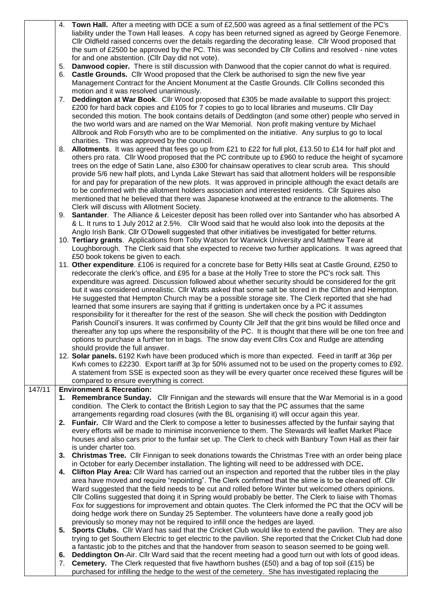|        | 4. | <b>Town Hall.</b> After a meeting with DCE a sum of £2,500 was agreed as a final settlement of the PC's      |
|--------|----|--------------------------------------------------------------------------------------------------------------|
|        |    | liability under the Town Hall leases. A copy has been returned signed as agreed by George Fenemore.          |
|        |    | Cllr Oldfield raised concerns over the details regarding the decorating lease. Cllr Wood proposed that       |
|        |    | the sum of £2500 be approved by the PC. This was seconded by Cllr Collins and resolved - nine votes          |
|        |    | for and one abstention. (Cllr Day did not vote).                                                             |
|        | 5. | Danwood copier. There is still discussion with Danwood that the copier cannot do what is required.           |
|        | 6. | Castle Grounds. Cllr Wood proposed that the Clerk be authorised to sign the new five year                    |
|        |    |                                                                                                              |
|        |    | Management Contract for the Ancient Monument at the Castle Grounds. Cllr Collins seconded this               |
|        |    | motion and it was resolved unanimously.                                                                      |
|        | 7. | Deddington at War Book. Cllr Wood proposed that £305 be made available to support this project:              |
|        |    | £200 for hard back copies and £105 for 7 copies to go to local libraries and museums. Cllr Day               |
|        |    | seconded this motion. The book contains details of Deddington (and some other) people who served in          |
|        |    | the two world wars and are named on the War Memorial. Non profit making venture by Michael                   |
|        |    | Allbrook and Rob Forsyth who are to be complimented on the initiative. Any surplus to go to local            |
|        |    | charities. This was approved by the council.                                                                 |
|        | 8. | Allotments. It was agreed that fees go up from £21 to £22 for full plot, £13.50 to £14 for half plot and     |
|        |    | others pro rata. Cllr Wood proposed that the PC contribute up to £960 to reduce the height of sycamore       |
|        |    | trees on the edge of Satin Lane, also £300 for chainsaw operatives to clear scrub area. This should          |
|        |    |                                                                                                              |
|        |    | provide 5/6 new half plots, and Lynda Lake Stewart has said that allotment holders will be responsible       |
|        |    | for and pay for preparation of the new plots. It was approved in principle although the exact details are    |
|        |    | to be confirmed with the allotment holders association and interested residents. Cllr Squires also           |
|        |    | mentioned that he believed that there was Japanese knotweed at the entrance to the allotments. The           |
|        |    | Clerk will discuss with Allotment Society.                                                                   |
|        |    | 9. Santander. The Alliance & Leicester deposit has been rolled over into Santander who has absorbed A        |
|        |    | & L. It runs to 1 July 2012 at 2.5%. Cllr Wood said that he would also look into the deposits at the         |
|        |    | Anglo Irish Bank. Cllr O'Dowell suggested that other initiatives be investigated for better returns.         |
|        |    | 10. Tertiary grants. Applications from Toby Watson for Warwick University and Matthew Teare at               |
|        |    | Loughborough. The Clerk said that she expected to receive two further applications. It was agreed that       |
|        |    | £50 book tokens be given to each.                                                                            |
|        |    | 11. Other expenditure. £106 is required for a concrete base for Betty Hills seat at Castle Ground, £250 to   |
|        |    | redecorate the clerk's office, and £95 for a base at the Holly Tree to store the PC's rock salt. This        |
|        |    | expenditure was agreed. Discussion followed about whether security should be considered for the grit         |
|        |    | but it was considered unrealistic. Cllr Watts asked that some salt be stored in the Clifton and Hempton.     |
|        |    |                                                                                                              |
|        |    | He suggested that Hempton Church may be a possible storage site. The Clerk reported that she had             |
|        |    | learned that some insurers are saying that if gritting is undertaken once by a PC it assumes                 |
|        |    | responsibility for it thereafter for the rest of the season. She will check the position with Deddington     |
|        |    | Parish Council's insurers. It was confirmed by County Cllr Jelf that the grit bins would be filled once and  |
|        |    | thereafter any top ups where the responsibility of the PC. It is thought that there will be one ton free and |
|        |    | options to purchase a further ton in bags. The snow day event Cllrs Cox and Rudge are attending              |
|        |    | should provide the full answer.                                                                              |
|        |    | 12. Solar panels. 6192 Kwh have been produced which is more than expected. Feed in tariff at 36p per         |
|        |    | Kwh comes to £2230. Export tariff at 3p for 50% assumed not to be used on the property comes to £92.         |
|        |    | A statement from SSE is expected soon as they will be every quarter once received these figures will be      |
|        |    | compared to ensure everything is correct.                                                                    |
| 147/11 |    | <b>Environment &amp; Recreation:</b>                                                                         |
|        |    | 1. Remembrance Sunday. Cllr Finnigan and the stewards will ensure that the War Memorial is in a good         |
|        |    |                                                                                                              |
|        |    | condition. The Clerk to contact the British Legion to say that the PC assumes that the same                  |
|        |    | arrangements regarding road closures (with the BL organising it) will occur again this year.                 |
|        | 2. | Funfair. Cllr Ward and the Clerk to compose a letter to businesses affected by the funfair saying that       |
|        |    | every efforts will be made to minimise inconvenience to them. The Stewards will leaflet Market Place         |
|        |    | houses and also cars prior to the funfair set up. The Clerk to check with Banbury Town Hall as their fair    |
|        |    | is under charter too.                                                                                        |
|        | 3. | <b>Christmas Tree.</b> Cllr Finnigan to seek donations towards the Christmas Tree with an order being place  |
|        |    | in October for early December installation. The lighting will need to be addressed with DCE.                 |
|        | 4. | Clifton Play Area: Cllr Ward has carried out an inspection and reported that the rubber tiles in the play    |
|        |    | area have moved and require "repointing". The Clerk confirmed that the slime is to be cleaned off. Cllr      |
|        |    | Ward suggested that the field needs to be cut and rolled before Winter but welcomed others opinions.         |
|        |    | CIIr Collins suggested that doing it in Spring would probably be better. The Clerk to liaise with Thomas     |
|        |    | Fox for suggestions for improvement and obtain quotes. The Clerk informed the PC that the OCV will be        |
|        |    | doing hedge work there on Sunday 25 September. The volunteers have done a really good job                    |
|        |    | previously so money may not be required to infill once the hedges are layed.                                 |
|        | 5. | Sports Clubs. Cllr Ward has said that the Cricket Club would like to extend the pavilion. They are also      |
|        |    |                                                                                                              |
|        |    | trying to get Southern Electric to get electric to the pavilion. She reported that the Cricket Club had done |
|        |    | a fantastic job to the pitches and that the handover from season to season seemed to be going well.          |
|        | 6. | Deddington On-Air. Cllr Ward said that the recent meeting had a good turn out with lots of good ideas.       |
|        | 7. | <b>Cemetery.</b> The Clerk requested that five hawthorn bushes (£50) and a bag of top soil (£15) be          |
|        |    | purchased for infilling the hedge to the west of the cemetery. She has investigated replacing the            |